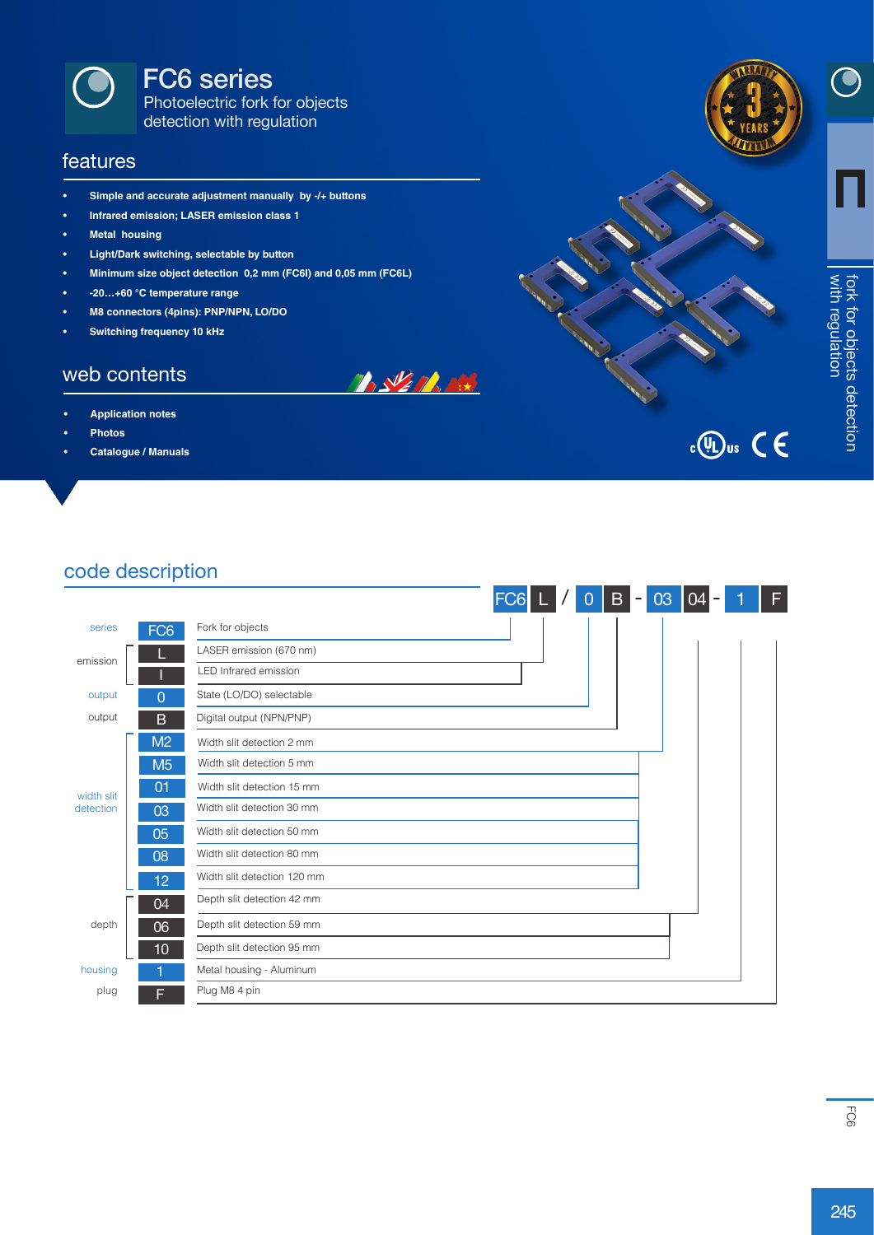

FC6 series

Photoelectric fork for objects detection with regulation

#### features

- **• Simple and accurate adjustment manually by -/+ buttons**
- **• Infrared emission; LASER emission class 1**
- **• Metal housing**
- **• Light/Dark switching, selectable by button**
- **• Minimum size object detection 0,2 mm (FC6I) and 0,05 mm (FC6L)**
- **• -20…+60 °C temperature range**
- **• M8 connectors (4pins): PNP/NPN, LO/DO**
- **• Switching frequency 10 kHz**

#### web contents

- **• Application notes**
- **• Photos**
- **• Catalogue / Manuals**



 $\bigodot$ 





#### code description

|                         |                 |                             | FC <sub>6</sub> | $\overline{0}$ | $\mathbf{B}$<br>$\overline{\phantom{a}}$ | 03 | 04 | F |
|-------------------------|-----------------|-----------------------------|-----------------|----------------|------------------------------------------|----|----|---|
| series                  | FC <sub>6</sub> | Fork for objects            |                 |                |                                          |    |    |   |
| emission                |                 | LASER emission (670 nm)     |                 |                |                                          |    |    |   |
|                         |                 | LED Infrared emission       |                 |                |                                          |    |    |   |
| output                  | 0               | State (LO/DO) selectable    |                 |                |                                          |    |    |   |
| output                  | B               | Digital output (NPN/PNP)    |                 |                |                                          |    |    |   |
|                         | M2              | Width slit detection 2 mm   |                 |                |                                          |    |    |   |
|                         | M <sub>5</sub>  | Width slit detection 5 mm   |                 |                |                                          |    |    |   |
| width slit<br>detection | 01              | Width slit detection 15 mm  |                 |                |                                          |    |    |   |
|                         | 03              | Width slit detection 30 mm  |                 |                |                                          |    |    |   |
|                         | 05              | Width slit detection 50 mm  |                 |                |                                          |    |    |   |
|                         | 08              | Width slit detection 80 mm  |                 |                |                                          |    |    |   |
|                         | 12 <sub>2</sub> | Width slit detection 120 mm |                 |                |                                          |    |    |   |
|                         | 04              | Depth slit detection 42 mm  |                 |                |                                          |    |    |   |
| depth                   | 06              | Depth slit detection 59 mm  |                 |                |                                          |    |    |   |
|                         | 10              | Depth slit detection 95 mm  |                 |                |                                          |    |    |   |
| housing                 |                 | Metal housing - Aluminum    |                 |                |                                          |    |    |   |
| plug                    | F               | Plug M8 4 pin               |                 |                |                                          |    |    |   |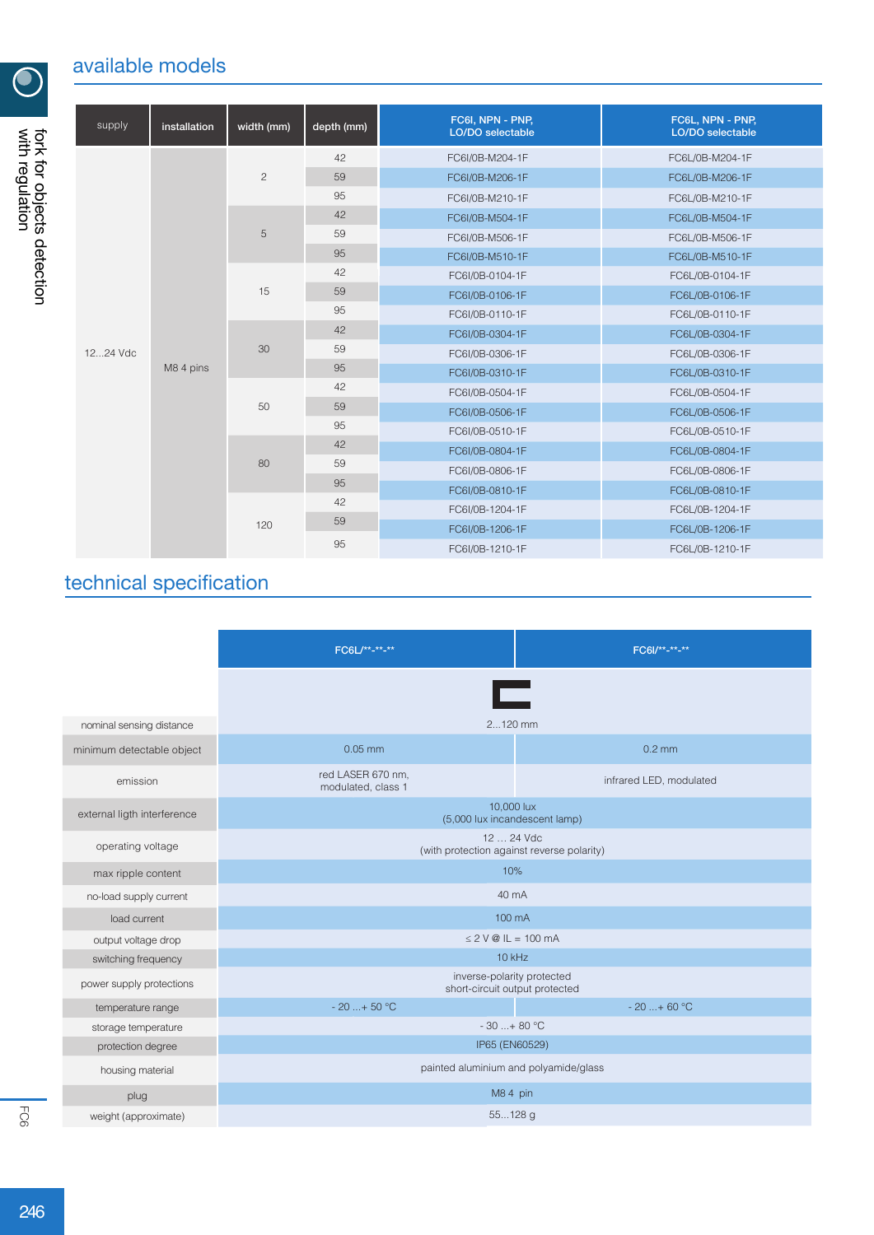## available models

| supply   | installation | width (mm)     | depth (mm) | FC6I, NPN - PNP,<br>LO/DO selectable | FC6L, NPN - PNP,<br>LO/DO selectable |
|----------|--------------|----------------|------------|--------------------------------------|--------------------------------------|
|          | M8 4 pins    | $\overline{c}$ | 42         | FC6I/0B-M204-1F                      | FC6L/0B-M204-1F                      |
|          |              |                | 59         | FC6I/0B-M206-1F                      | FC6L/0B-M206-1F                      |
|          |              |                | 95         | FC6I/0B-M210-1F                      | FC6L/0B-M210-1F                      |
|          |              | 5              | 42         | FC6I/0B-M504-1F                      | FC6L/0B-M504-1F                      |
|          |              |                | 59         | FC6I/0B-M506-1F                      | FC6L/0B-M506-1F                      |
|          |              |                | 95         | FC6I/0B-M510-1F                      | FC6L/0B-M510-1F                      |
|          |              | 15             | 42         | FC6I/0B-0104-1F                      | FC6L/0B-0104-1F                      |
|          |              |                | 59         | FC6I/0B-0106-1F                      | FC6L/0B-0106-1F                      |
|          |              |                | 95         | FC6I/0B-0110-1F                      | FC6L/0B-0110-1F                      |
|          |              |                | 42         | FC6I/0B-0304-1F                      | FC6L/0B-0304-1F                      |
| 1224 Vdc |              | 30             | 59         | FC6I/0B-0306-1F                      | FC6L/0B-0306-1F                      |
|          |              |                | 95         | FC6I/0B-0310-1F                      | FC6L/0B-0310-1F                      |
|          |              |                | 42         | FC6I/0B-0504-1F                      | FC6L/0B-0504-1F                      |
|          |              | 50             | 59         | FC6I/0B-0506-1F                      | FC6L/0B-0506-1F                      |
|          |              |                | 95         | FC6I/0B-0510-1F                      | FC6L/0B-0510-1F                      |
|          |              |                | 42         | FC6I/0B-0804-1F                      | FC6L/0B-0804-1F                      |
|          |              | 80<br>120      | 59         | FC6I/0B-0806-1F                      | FC6L/0B-0806-1F                      |
|          |              |                | 95         | FC6I/0B-0810-1F                      | FC6L/0B-0810-1F                      |
|          |              |                | 42         | FC6I/0B-1204-1F                      | FC6L/0B-1204-1F                      |
|          |              |                | 59         | FC6I/0B-1206-1F                      | FC6L/0B-1206-1F                      |
|          |              |                | 95         | FC6I/0B-1210-1F                      | FC6L/0B-1210-1F                      |

# technical specification

|                             | FC6L/**-**-**                                                | FC6I/** <sub>-**-</sub> ** |  |  |  |  |  |  |
|-----------------------------|--------------------------------------------------------------|----------------------------|--|--|--|--|--|--|
|                             | œ                                                            |                            |  |  |  |  |  |  |
| nominal sensing distance    | 2120 mm                                                      |                            |  |  |  |  |  |  |
| minimum detectable object   | $0.05$ mm                                                    | $0.2$ mm                   |  |  |  |  |  |  |
| emission                    | red LASER 670 nm,<br>modulated, class 1                      | infrared LED, modulated    |  |  |  |  |  |  |
| external ligth interference | 10,000 lux<br>(5,000 lux incandescent lamp)                  |                            |  |  |  |  |  |  |
| operating voltage           | 12  24 Vdc<br>(with protection against reverse polarity)     |                            |  |  |  |  |  |  |
| max ripple content          | 10%                                                          |                            |  |  |  |  |  |  |
| no-load supply current      | 40 mA                                                        |                            |  |  |  |  |  |  |
| load current                | 100 mA                                                       |                            |  |  |  |  |  |  |
| output voltage drop         | $\leq$ 2 V @ IL = 100 mA                                     |                            |  |  |  |  |  |  |
| switching frequency         | $10$ kHz                                                     |                            |  |  |  |  |  |  |
| power supply protections    | inverse-polarity protected<br>short-circuit output protected |                            |  |  |  |  |  |  |
| temperature range           | $-20$ + 50 °C                                                | $-20$ + 60 °C              |  |  |  |  |  |  |
| storage temperature         | $-30+80$ °C                                                  |                            |  |  |  |  |  |  |
| protection degree           | IP65 (EN60529)                                               |                            |  |  |  |  |  |  |
| housing material            | painted aluminium and polyamide/glass                        |                            |  |  |  |  |  |  |
| plug                        | M8 4 pin                                                     |                            |  |  |  |  |  |  |
| weight (approximate)        | 55128 g                                                      |                            |  |  |  |  |  |  |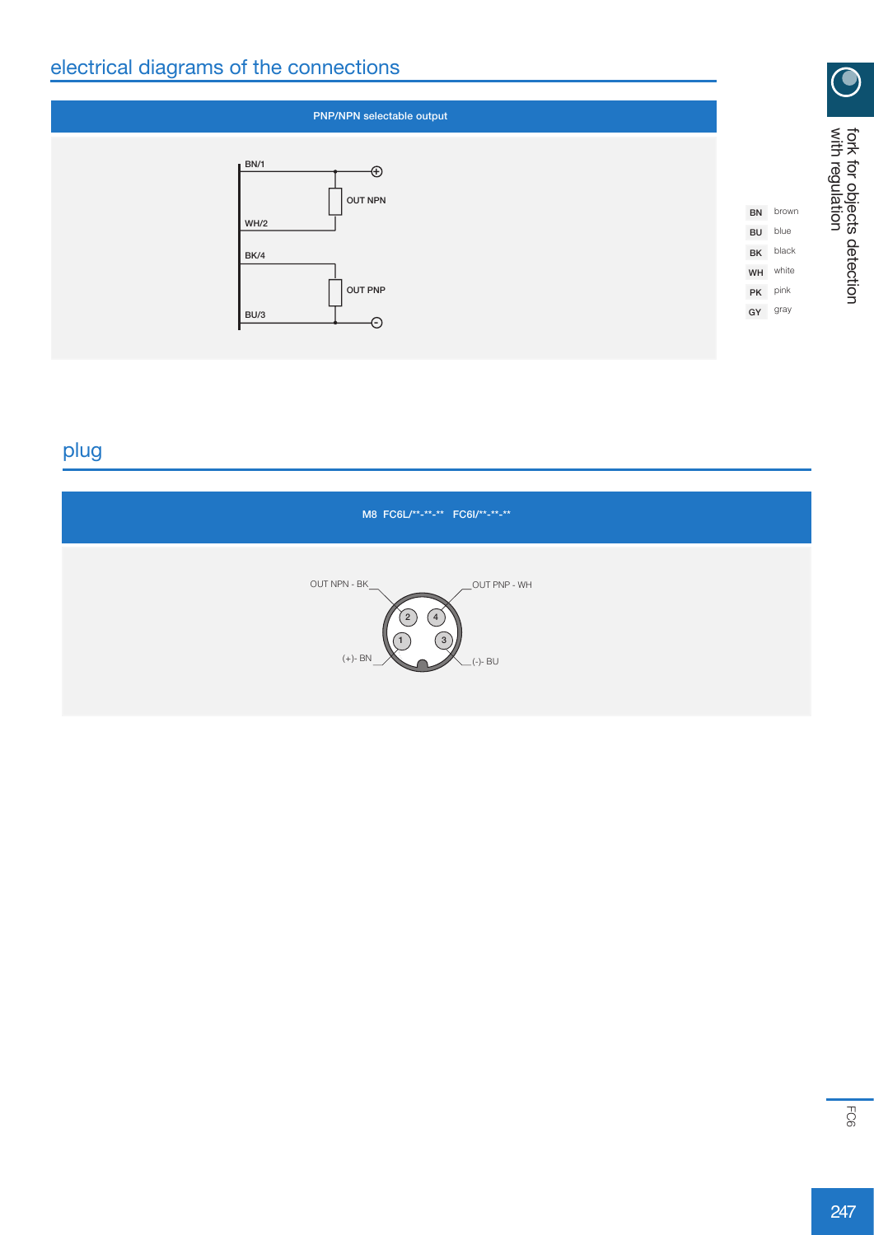## electrical diagrams of the connections

| PNP/NPN selectable output          |               |       |
|------------------------------------|---------------|-------|
| BN/1<br>$\oplus$<br><b>OUT NPN</b> |               |       |
| WH/2                               | BN            | brown |
|                                    | BU            | blue  |
| BK/4                               | $\mathsf{BK}$ | black |
|                                    | WH            | white |
| <b>OUT PNP</b>                     | $\mathsf{PK}$ | pink  |
| BU/3                               | GY            | gray  |
| ⊖                                  |               |       |

## plug

| M8 FC6L/**-**-** FC6I/**-**-**                                                       |  |
|--------------------------------------------------------------------------------------|--|
| OUT NPN - BK<br>OUT PNP - WH<br>$\overline{2}$<br>4<br>3<br>$(+)$ - BN<br>$(-) - BU$ |  |

with regulation

 $\bigcirc$ 

fork for objects detection

fork for objects detection<br>with regulation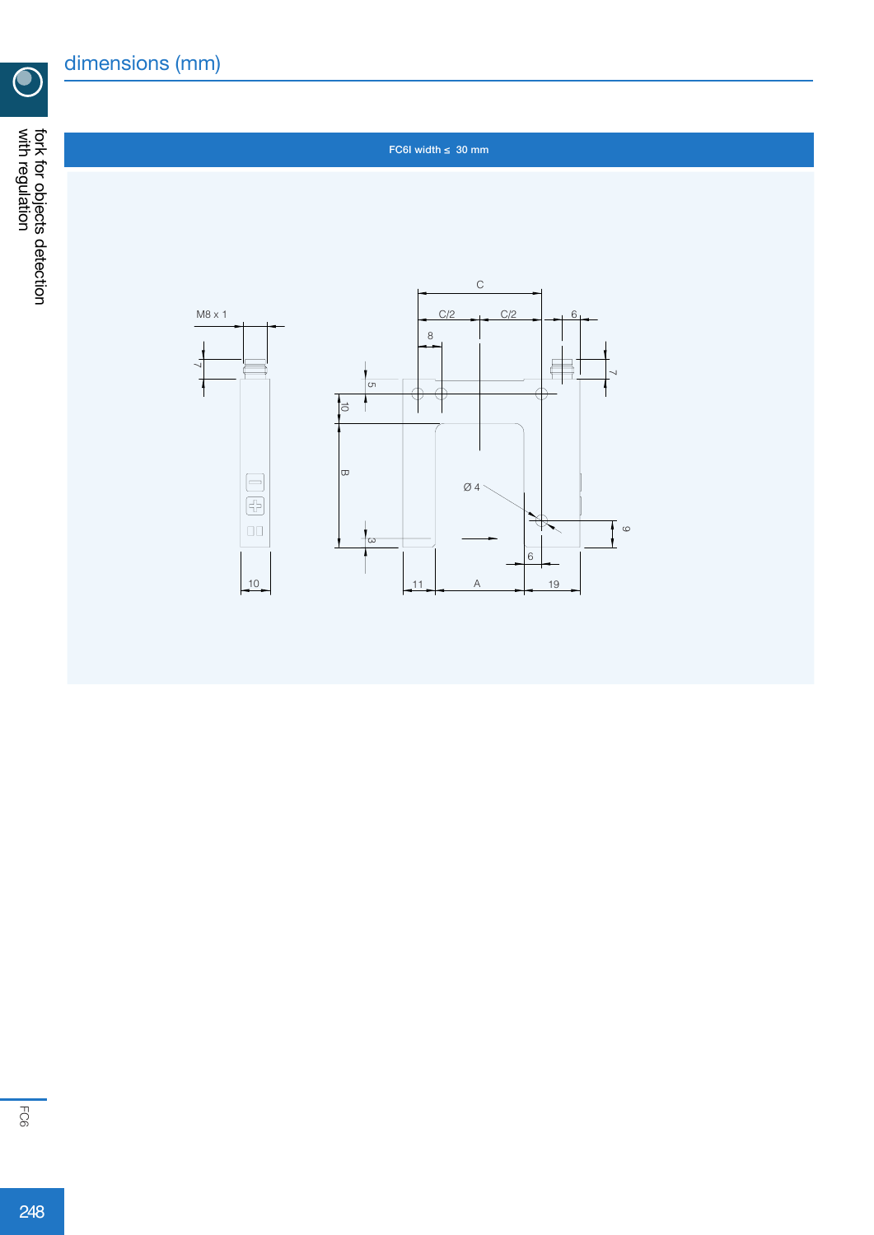$\overline{\mathbf{C}}$ 

#### FC6I width  $\leq 30$  mm

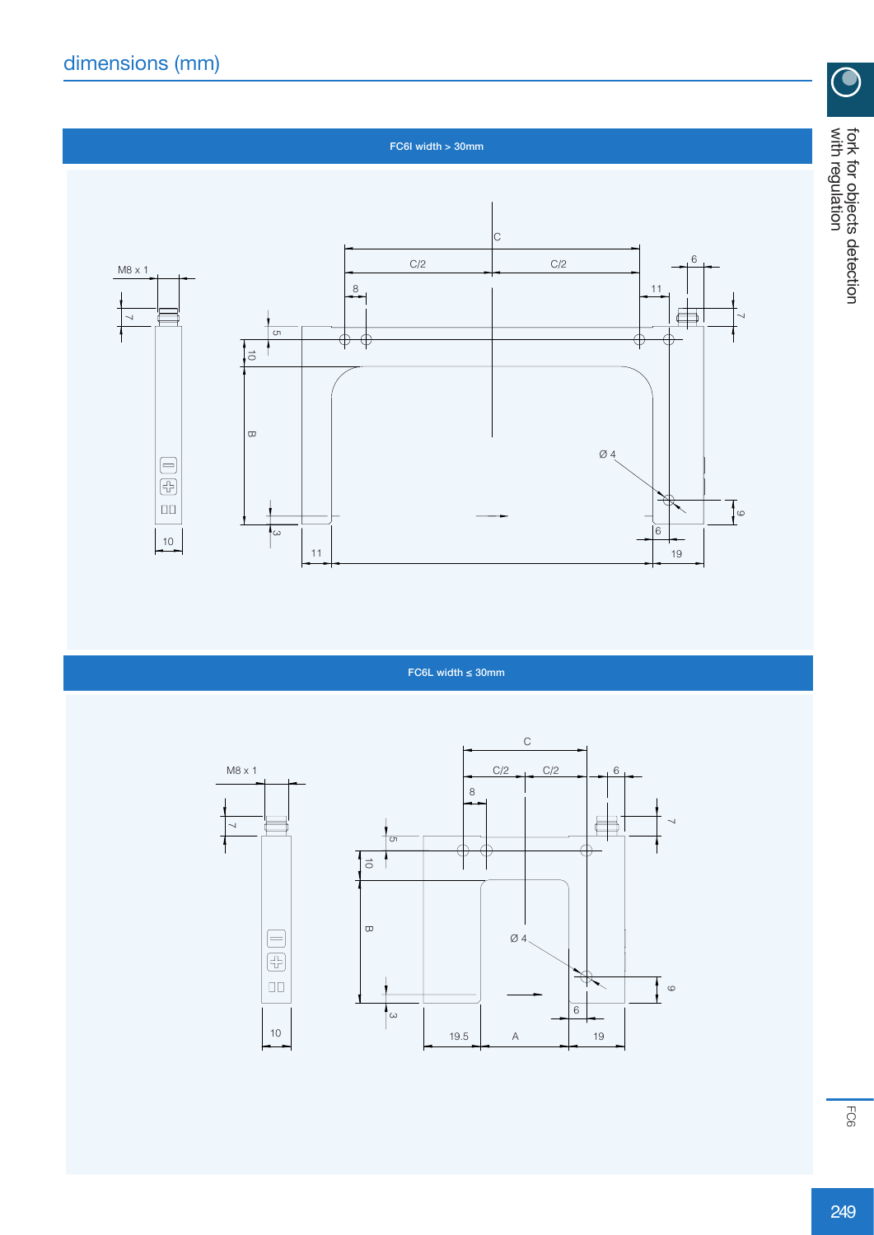$\ddagger$ 



FC6L width ≤ 30mm